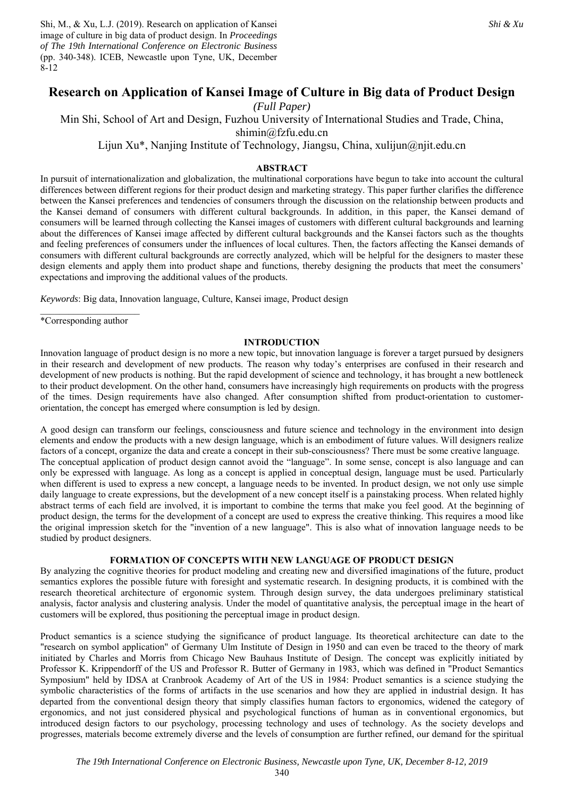Shi, M., & Xu, L.J. (2019). Research on application of Kansei image of culture in big data of product design. In *Proceedings of The 19th International Conference on Electronic Business* (pp. 340-348). ICEB, Newcastle upon Tyne, UK, December 8-12

# **Research on Application of Kansei Image of Culture in Big data of Product Design**

*(Full Paper)* 

Min Shi, School of Art and Design, Fuzhou University of International Studies and Trade, China, shimin@fzfu.edu.cn

Lijun Xu\*, Nanjing Institute of Technology, Jiangsu, China, xulijun@njit.edu.cn

## **ABSTRACT**

In pursuit of internationalization and globalization, the multinational corporations have begun to take into account the cultural differences between different regions for their product design and marketing strategy. This paper further clarifies the difference between the Kansei preferences and tendencies of consumers through the discussion on the relationship between products and the Kansei demand of consumers with different cultural backgrounds. In addition, in this paper, the Kansei demand of consumers will be learned through collecting the Kansei images of customers with different cultural backgrounds and learning about the differences of Kansei image affected by different cultural backgrounds and the Kansei factors such as the thoughts and feeling preferences of consumers under the influences of local cultures. Then, the factors affecting the Kansei demands of consumers with different cultural backgrounds are correctly analyzed, which will be helpful for the designers to master these design elements and apply them into product shape and functions, thereby designing the products that meet the consumers' expectations and improving the additional values of the products.

*Keywords*: Big data, Innovation language, Culture, Kansei image, Product design

\*Corresponding author

## **INTRODUCTION**

Innovation language of product design is no more a new topic, but innovation language is forever a target pursued by designers in their research and development of new products. The reason why today's enterprises are confused in their research and development of new products is nothing. But the rapid development of science and technology, it has brought a new bottleneck to their product development. On the other hand, consumers have increasingly high requirements on products with the progress of the times. Design requirements have also changed. After consumption shifted from product-orientation to customerorientation, the concept has emerged where consumption is led by design.

A good design can transform our feelings, consciousness and future science and technology in the environment into design elements and endow the products with a new design language, which is an embodiment of future values. Will designers realize factors of a concept, organize the data and create a concept in their sub-consciousness? There must be some creative language. The conceptual application of product design cannot avoid the "language". In some sense, concept is also language and can only be expressed with language. As long as a concept is applied in conceptual design, language must be used. Particularly when different is used to express a new concept, a language needs to be invented. In product design, we not only use simple daily language to create expressions, but the development of a new concept itself is a painstaking process. When related highly abstract terms of each field are involved, it is important to combine the terms that make you feel good. At the beginning of product design, the terms for the development of a concept are used to express the creative thinking. This requires a mood like the original impression sketch for the "invention of a new language". This is also what of innovation language needs to be studied by product designers.

## **FORMATION OF CONCEPTS WITH NEW LANGUAGE OF PRODUCT DESIGN**

By analyzing the cognitive theories for product modeling and creating new and diversified imaginations of the future, product semantics explores the possible future with foresight and systematic research. In designing products, it is combined with the research theoretical architecture of ergonomic system. Through design survey, the data undergoes preliminary statistical analysis, factor analysis and clustering analysis. Under the model of quantitative analysis, the perceptual image in the heart of customers will be explored, thus positioning the perceptual image in product design.

Product semantics is a science studying the significance of product language. Its theoretical architecture can date to the "research on symbol application" of Germany Ulm Institute of Design in 1950 and can even be traced to the theory of mark initiated by Charles and Morris from Chicago New Bauhaus Institute of Design. The concept was explicitly initiated by Professor K. Krippendorff of the US and Professor R. Butter of Germany in 1983, which was defined in "Product Semantics Symposium" held by IDSA at Cranbrook Academy of Art of the US in 1984: Product semantics is a science studying the symbolic characteristics of the forms of artifacts in the use scenarios and how they are applied in industrial design. It has departed from the conventional design theory that simply classifies human factors to ergonomics, widened the category of ergonomics, and not just considered physical and psychological functions of human as in conventional ergonomics, but introduced design factors to our psychology, processing technology and uses of technology. As the society develops and progresses, materials become extremely diverse and the levels of consumption are further refined, our demand for the spiritual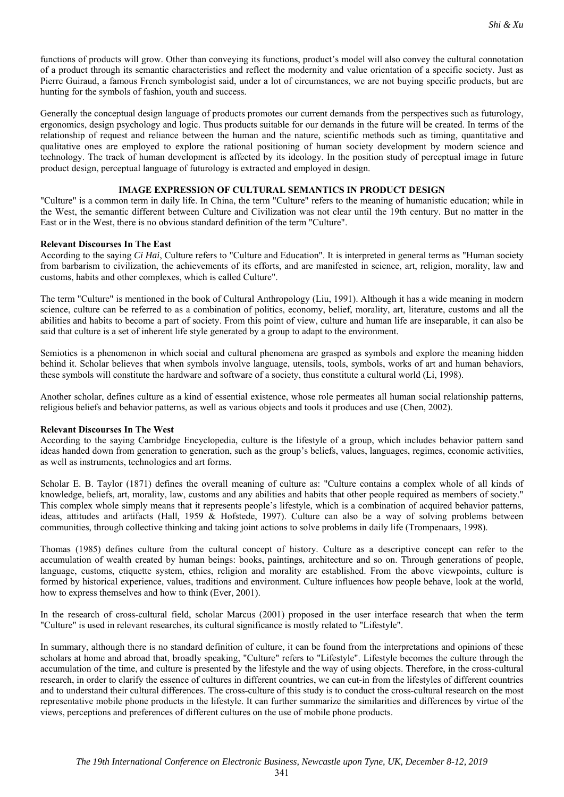functions of products will grow. Other than conveying its functions, product's model will also convey the cultural connotation of a product through its semantic characteristics and reflect the modernity and value orientation of a specific society. Just as Pierre Guiraud, a famous French symbologist said, under a lot of circumstances, we are not buying specific products, but are hunting for the symbols of fashion, youth and success.

Generally the conceptual design language of products promotes our current demands from the perspectives such as futurology, ergonomics, design psychology and logic. Thus products suitable for our demands in the future will be created. In terms of the relationship of request and reliance between the human and the nature, scientific methods such as timing, quantitative and qualitative ones are employed to explore the rational positioning of human society development by modern science and technology. The track of human development is affected by its ideology. In the position study of perceptual image in future product design, perceptual language of futurology is extracted and employed in design.

## **IMAGE EXPRESSION OF CULTURAL SEMANTICS IN PRODUCT DESIGN**

"Culture" is a common term in daily life. In China, the term "Culture" refers to the meaning of humanistic education; while in the West, the semantic different between Culture and Civilization was not clear until the 19th century. But no matter in the East or in the West, there is no obvious standard definition of the term "Culture".

## **Relevant Discourses In The East**

According to the saying *Ci Hai*, Culture refers to "Culture and Education". It is interpreted in general terms as "Human society from barbarism to civilization, the achievements of its efforts, and are manifested in science, art, religion, morality, law and customs, habits and other complexes, which is called Culture".

The term "Culture" is mentioned in the book of Cultural Anthropology (Liu, 1991). Although it has a wide meaning in modern science, culture can be referred to as a combination of politics, economy, belief, morality, art, literature, customs and all the abilities and habits to become a part of society. From this point of view, culture and human life are inseparable, it can also be said that culture is a set of inherent life style generated by a group to adapt to the environment.

Semiotics is a phenomenon in which social and cultural phenomena are grasped as symbols and explore the meaning hidden behind it. Scholar believes that when symbols involve language, utensils, tools, symbols, works of art and human behaviors, these symbols will constitute the hardware and software of a society, thus constitute a cultural world (Li, 1998).

Another scholar, defines culture as a kind of essential existence, whose role permeates all human social relationship patterns, religious beliefs and behavior patterns, as well as various objects and tools it produces and use (Chen, 2002).

### **Relevant Discourses In The West**

According to the saying Cambridge Encyclopedia, culture is the lifestyle of a group, which includes behavior pattern sand ideas handed down from generation to generation, such as the group's beliefs, values, languages, regimes, economic activities, as well as instruments, technologies and art forms.

Scholar E. B. Taylor (1871) defines the overall meaning of culture as: "Culture contains a complex whole of all kinds of knowledge, beliefs, art, morality, law, customs and any abilities and habits that other people required as members of society." This complex whole simply means that it represents people's lifestyle, which is a combination of acquired behavior patterns, ideas, attitudes and artifacts (Hall, 1959 & Hofstede, 1997). Culture can also be a way of solving problems between communities, through collective thinking and taking joint actions to solve problems in daily life (Trompenaars, 1998).

Thomas (1985) defines culture from the cultural concept of history. Culture as a descriptive concept can refer to the accumulation of wealth created by human beings: books, paintings, architecture and so on. Through generations of people, language, customs, etiquette system, ethics, religion and morality are established. From the above viewpoints, culture is formed by historical experience, values, traditions and environment. Culture influences how people behave, look at the world, how to express themselves and how to think (Ever, 2001).

In the research of cross-cultural field, scholar Marcus (2001) proposed in the user interface research that when the term "Culture" is used in relevant researches, its cultural significance is mostly related to "Lifestyle".

In summary, although there is no standard definition of culture, it can be found from the interpretations and opinions of these scholars at home and abroad that, broadly speaking, "Culture" refers to "Lifestyle". Lifestyle becomes the culture through the accumulation of the time, and culture is presented by the lifestyle and the way of using objects. Therefore, in the cross-cultural research, in order to clarify the essence of cultures in different countries, we can cut-in from the lifestyles of different countries and to understand their cultural differences. The cross-culture of this study is to conduct the cross-cultural research on the most representative mobile phone products in the lifestyle. It can further summarize the similarities and differences by virtue of the views, perceptions and preferences of different cultures on the use of mobile phone products.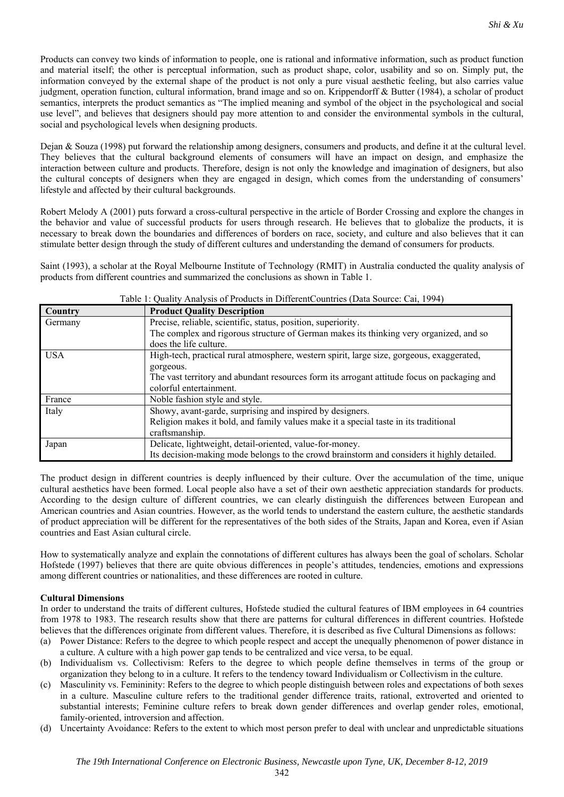*Shi & Xu*

information conveyed by the external shape of the product is not only a pure visual aesthetic feeling, but also carries value judgment, operation function, cultural information, brand image and so on. Krippendorff & Butter (1984), a scholar of product semantics, interprets the product semantics as "The implied meaning and symbol of the object in the psychological and social use level", and believes that designers should pay more attention to and consider the environmental symbols in the cultural, social and psychological levels when designing products.

Dejan & Souza (1998) put forward the relationship among designers, consumers and products, and define it at the cultural level. They believes that the cultural background elements of consumers will have an impact on design, and emphasize the interaction between culture and products. Therefore, design is not only the knowledge and imagination of designers, but also the cultural concepts of designers when they are engaged in design, which comes from the understanding of consumers' lifestyle and affected by their cultural backgrounds.

Robert Melody A (2001) puts forward a cross-cultural perspective in the article of Border Crossing and explore the changes in the behavior and value of successful products for users through research. He believes that to globalize the products, it is necessary to break down the boundaries and differences of borders on race, society, and culture and also believes that it can stimulate better design through the study of different cultures and understanding the demand of consumers for products.

Saint (1993), a scholar at the Royal Melbourne Institute of Technology (RMIT) in Australia conducted the quality analysis of products from different countries and summarized the conclusions as shown in Table 1.

| Country    | <b>Product Quality Description</b>                                                          |  |  |  |  |  |
|------------|---------------------------------------------------------------------------------------------|--|--|--|--|--|
| Germany    | Precise, reliable, scientific, status, position, superiority.                               |  |  |  |  |  |
|            | The complex and rigorous structure of German makes its thinking very organized, and so      |  |  |  |  |  |
|            | does the life culture.                                                                      |  |  |  |  |  |
| <b>USA</b> | High-tech, practical rural atmosphere, western spirit, large size, gorgeous, exaggerated,   |  |  |  |  |  |
|            | gorgeous.                                                                                   |  |  |  |  |  |
|            | The vast territory and abundant resources form its arrogant attitude focus on packaging and |  |  |  |  |  |
|            | colorful entertainment.                                                                     |  |  |  |  |  |
| France     | Noble fashion style and style.                                                              |  |  |  |  |  |
| Italy      | Showy, avant-garde, surprising and inspired by designers.                                   |  |  |  |  |  |
|            | Religion makes it bold, and family values make it a special taste in its traditional        |  |  |  |  |  |
|            | craftsmanship.                                                                              |  |  |  |  |  |
| Japan      | Delicate, lightweight, detail-oriented, value-for-money.                                    |  |  |  |  |  |
|            | Its decision-making mode belongs to the crowd brainstorm and considers it highly detailed.  |  |  |  |  |  |

Table 1: Quality Analysis of Products in DifferentCountries (Data Source: Cai, 1994)

The product design in different countries is deeply influenced by their culture. Over the accumulation of the time, unique cultural aesthetics have been formed. Local people also have a set of their own aesthetic appreciation standards for products. According to the design culture of different countries, we can clearly distinguish the differences between European and American countries and Asian countries. However, as the world tends to understand the eastern culture, the aesthetic standards of product appreciation will be different for the representatives of the both sides of the Straits, Japan and Korea, even if Asian countries and East Asian cultural circle.

How to systematically analyze and explain the connotations of different cultures has always been the goal of scholars. Scholar Hofstede (1997) believes that there are quite obvious differences in people's attitudes, tendencies, emotions and expressions among different countries or nationalities, and these differences are rooted in culture.

## **Cultural Dimensions**

In order to understand the traits of different cultures, Hofstede studied the cultural features of IBM employees in 64 countries from 1978 to 1983. The research results show that there are patterns for cultural differences in different countries. Hofstede believes that the differences originate from different values. Therefore, it is described as five Cultural Dimensions as follows:

- (a) Power Distance: Refers to the degree to which people respect and accept the unequally phenomenon of power distance in a culture. A culture with a high power gap tends to be centralized and vice versa, to be equal.
- (b) Individualism vs. Collectivism: Refers to the degree to which people define themselves in terms of the group or organization they belong to in a culture. It refers to the tendency toward Individualism or Collectivism in the culture.
- (c) Masculinity vs. Femininity: Refers to the degree to which people distinguish between roles and expectations of both sexes in a culture. Masculine culture refers to the traditional gender difference traits, rational, extroverted and oriented to substantial interests; Feminine culture refers to break down gender differences and overlap gender roles, emotional, family-oriented, introversion and affection.
- (d) Uncertainty Avoidance: Refers to the extent to which most person prefer to deal with unclear and unpredictable situations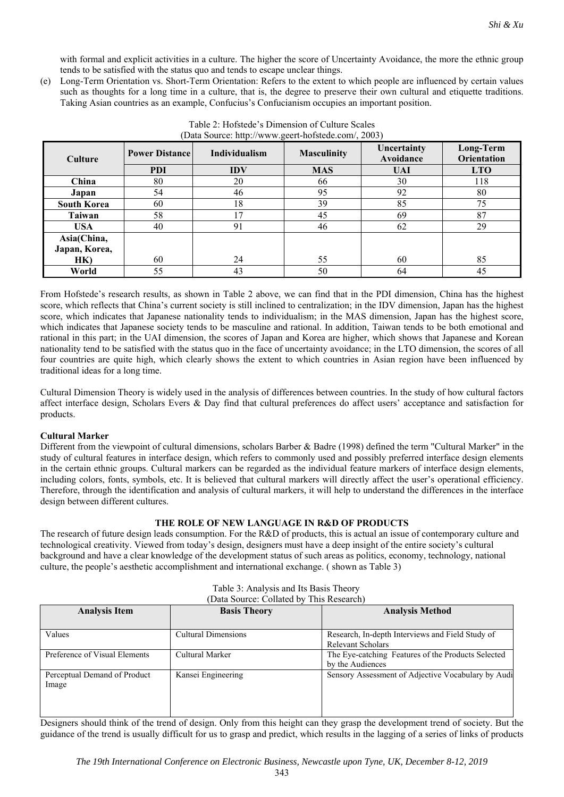with formal and explicit activities in a culture. The higher the score of Uncertainty Avoidance, the more the ethnic group tends to be satisfied with the status quo and tends to escape unclear things.

(e) Long-Term Orientation vs. Short-Term Orientation: Refers to the extent to which people are influenced by certain values such as thoughts for a long time in a culture, that is, the degree to preserve their own cultural and etiquette traditions. Taking Asian countries as an example, Confucius's Confucianism occupies an important position.

| <b>Culture</b>     | <b>Power Distance</b> | Individualism | <b>Masculinity</b> | Uncertainty<br>Avoidance | Long-Term<br><b>Orientation</b> |
|--------------------|-----------------------|---------------|--------------------|--------------------------|---------------------------------|
|                    | <b>PDI</b>            | <b>IDV</b>    | <b>MAS</b>         | <b>UAI</b>               | <b>LTO</b>                      |
| China              | 80                    | 20            | 66                 | 30                       | 118                             |
| Japan              | 54                    | 46            | 95                 | 92                       | 80                              |
| <b>South Korea</b> | 60                    | 18            | 39                 | 85                       | 75                              |
| Taiwan             | 58                    | 17            | 45                 | 69                       | 87                              |
| <b>USA</b>         | 40                    | 91            | 46                 | 62                       | 29                              |
| Asia(China,        |                       |               |                    |                          |                                 |
| Japan, Korea,      |                       |               |                    |                          |                                 |
| HK)                | 60                    | 24            | 55                 | 60                       | 85                              |
| World              | 55                    | 43            | 50                 | 64                       | 45                              |

Table 2: Hofstede's Dimension of Culture Scales (Data Source: http://www.geert-hofstede.com/, 2003)

From Hofstede's research results, as shown in Table 2 above, we can find that in the PDI dimension, China has the highest score, which reflects that China's current society is still inclined to centralization; in the IDV dimension, Japan has the highest score, which indicates that Japanese nationality tends to individualism; in the MAS dimension, Japan has the highest score, which indicates that Japanese society tends to be masculine and rational. In addition, Taiwan tends to be both emotional and rational in this part; in the UAI dimension, the scores of Japan and Korea are higher, which shows that Japanese and Korean nationality tend to be satisfied with the status quo in the face of uncertainty avoidance; in the LTO dimension, the scores of all four countries are quite high, which clearly shows the extent to which countries in Asian region have been influenced by traditional ideas for a long time.

Cultural Dimension Theory is widely used in the analysis of differences between countries. In the study of how cultural factors affect interface design, Scholars Evers & Day find that cultural preferences do affect users' acceptance and satisfaction for products.

## **Cultural Marker**

Different from the viewpoint of cultural dimensions, scholars Barber & Badre (1998) defined the term "Cultural Marker" in the study of cultural features in interface design, which refers to commonly used and possibly preferred interface design elements in the certain ethnic groups. Cultural markers can be regarded as the individual feature markers of interface design elements, including colors, fonts, symbols, etc. It is believed that cultural markers will directly affect the user's operational efficiency. Therefore, through the identification and analysis of cultural markers, it will help to understand the differences in the interface design between different cultures.

## **THE ROLE OF NEW LANGUAGE IN R&D OF PRODUCTS**

The research of future design leads consumption. For the R&D of products, this is actual an issue of contemporary culture and technological creativity. Viewed from today's design, designers must have a deep insight of the entire society's cultural background and have a clear knowledge of the development status of such areas as politics, economy, technology, national culture, the people's aesthetic accomplishment and international exchange. ( shown as Table 3)

| <b>Analysis Item</b>          | <b>Basis Theory</b>        | <b>Analysis Method</b>                             |  |
|-------------------------------|----------------------------|----------------------------------------------------|--|
|                               |                            |                                                    |  |
| Values                        | <b>Cultural Dimensions</b> | Research, In-depth Interviews and Field Study of   |  |
|                               |                            | Relevant Scholars                                  |  |
| Preference of Visual Elements | Cultural Marker            | The Eye-catching Features of the Products Selected |  |
|                               |                            | by the Audiences                                   |  |
| Perceptual Demand of Product  | Kansei Engineering         | Sensory Assessment of Adjective Vocabulary by Audi |  |
| Image                         |                            |                                                    |  |
|                               |                            |                                                    |  |
|                               |                            |                                                    |  |
|                               |                            |                                                    |  |

| Table 3: Analysis and Its Basis Theory |  |  |
|----------------------------------------|--|--|
|                                        |  |  |

(Data Source: Collated by This Research)

Designers should think of the trend of design. Only from this height can they grasp the development trend of society. But the guidance of the trend is usually difficult for us to grasp and predict, which results in the lagging of a series of links of products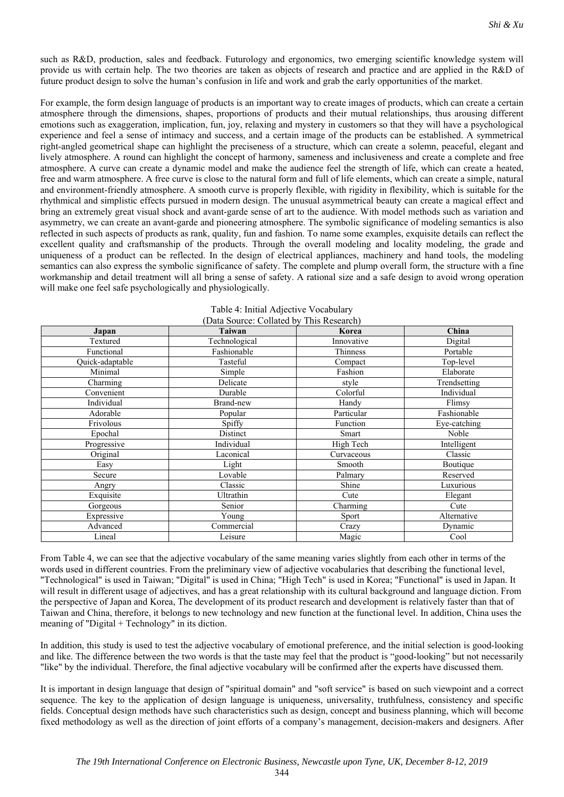such as R&D, production, sales and feedback. Futurology and ergonomics, two emerging scientific knowledge system will provide us with certain help. The two theories are taken as objects of research and practice and are applied in the R&D of future product design to solve the human's confusion in life and work and grab the early opportunities of the market.

For example, the form design language of products is an important way to create images of products, which can create a certain atmosphere through the dimensions, shapes, proportions of products and their mutual relationships, thus arousing different emotions such as exaggeration, implication, fun, joy, relaxing and mystery in customers so that they will have a psychological experience and feel a sense of intimacy and success, and a certain image of the products can be established. A symmetrical right-angled geometrical shape can highlight the preciseness of a structure, which can create a solemn, peaceful, elegant and lively atmosphere. A round can highlight the concept of harmony, sameness and inclusiveness and create a complete and free atmosphere. A curve can create a dynamic model and make the audience feel the strength of life, which can create a heated, free and warm atmosphere. A free curve is close to the natural form and full of life elements, which can create a simple, natural and environment-friendly atmosphere. A smooth curve is properly flexible, with rigidity in flexibility, which is suitable for the rhythmical and simplistic effects pursued in modern design. The unusual asymmetrical beauty can create a magical effect and bring an extremely great visual shock and avant-garde sense of art to the audience. With model methods such as variation and asymmetry, we can create an avant-garde and pioneering atmosphere. The symbolic significance of modeling semantics is also reflected in such aspects of products as rank, quality, fun and fashion. To name some examples, exquisite details can reflect the excellent quality and craftsmanship of the products. Through the overall modeling and locality modeling, the grade and uniqueness of a product can be reflected. In the design of electrical appliances, machinery and hand tools, the modeling semantics can also express the symbolic significance of safety. The complete and plump overall form, the structure with a fine workmanship and detail treatment will all bring a sense of safety. A rational size and a safe design to avoid wrong operation will make one feel safe psychologically and physiologically.

| Japan           | <b>Taiwan</b> | Korea      | China        |
|-----------------|---------------|------------|--------------|
| Textured        | Technological | Innovative | Digital      |
| Functional      | Fashionable   | Thinness   | Portable     |
| Quick-adaptable | Tasteful      | Compact    | Top-level    |
| Minimal         | Simple        | Fashion    | Elaborate    |
| Charming        | Delicate      | style      | Trendsetting |
| Convenient      | Durable       | Colorful   | Individual   |
| Individual      | Brand-new     | Handy      | Flimsy       |
| Adorable        | Popular       | Particular | Fashionable  |
| Frivolous       | Spiffy        | Function   | Eye-catching |
| Epochal         | Distinct      | Smart      | Noble        |
| Progressive     | Individual    | High Tech  | Intelligent  |
| Original        | Laconical     | Curvaceous | Classic      |
| Easy            | Light         | Smooth     | Boutique     |
| Secure          | Lovable       | Palmary    | Reserved     |
| Angry           | Classic       | Shine      | Luxurious    |
| Exquisite       | Ultrathin     | Cute       | Elegant      |
| Gorgeous        | Senior        | Charming   | Cute         |
| Expressive      | Young         | Sport      | Alternative  |
| Advanced        | Commercial    | Crazy      | Dynamic      |
| Lineal          | Leisure       | Magic      | Cool         |

| Table 4: Initial Adjective Vocabulary    |
|------------------------------------------|
| (Data Source: Collated by This Research) |

From Table 4, we can see that the adjective vocabulary of the same meaning varies slightly from each other in terms of the words used in different countries. From the preliminary view of adjective vocabularies that describing the functional level, "Technological" is used in Taiwan; "Digital" is used in China; "High Tech" is used in Korea; "Functional" is used in Japan. It will result in different usage of adjectives, and has a great relationship with its cultural background and language diction. From the perspective of Japan and Korea, The development of its product research and development is relatively faster than that of Taiwan and China, therefore, it belongs to new technology and new function at the functional level. In addition, China uses the meaning of "Digital + Technology" in its diction.

In addition, this study is used to test the adjective vocabulary of emotional preference, and the initial selection is good-looking and like. The difference between the two words is that the taste may feel that the product is "good-looking" but not necessarily "like" by the individual. Therefore, the final adjective vocabulary will be confirmed after the experts have discussed them.

It is important in design language that design of "spiritual domain" and "soft service" is based on such viewpoint and a correct sequence. The key to the application of design language is uniqueness, universality, truthfulness, consistency and specific fields. Conceptual design methods have such characteristics such as design, concept and business planning, which will become fixed methodology as well as the direction of joint efforts of a company's management, decision-makers and designers. After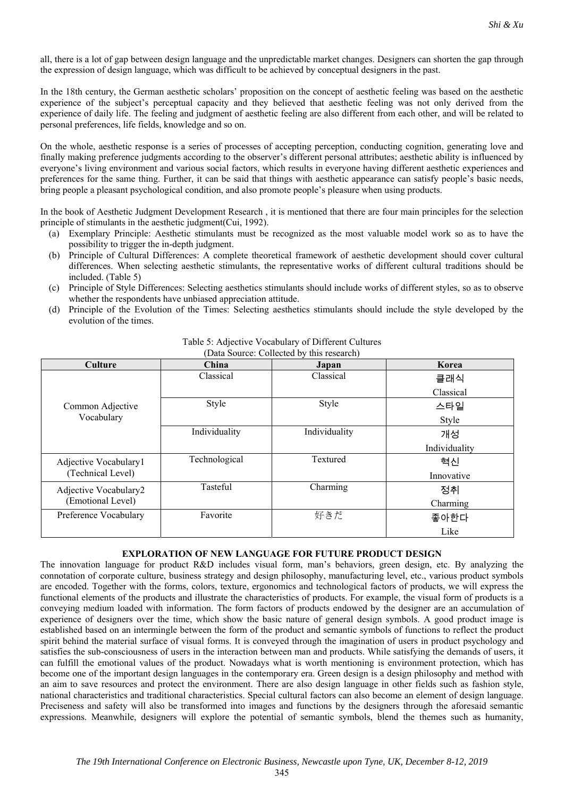all, there is a lot of gap between design language and the unpredictable market changes. Designers can shorten the gap through the expression of design language, which was difficult to be achieved by conceptual designers in the past.

In the 18th century, the German aesthetic scholars' proposition on the concept of aesthetic feeling was based on the aesthetic experience of the subject's perceptual capacity and they believed that aesthetic feeling was not only derived from the experience of daily life. The feeling and judgment of aesthetic feeling are also different from each other, and will be related to personal preferences, life fields, knowledge and so on.

On the whole, aesthetic response is a series of processes of accepting perception, conducting cognition, generating love and finally making preference judgments according to the observer's different personal attributes; aesthetic ability is influenced by everyone's living environment and various social factors, which results in everyone having different aesthetic experiences and preferences for the same thing. Further, it can be said that things with aesthetic appearance can satisfy people's basic needs, bring people a pleasant psychological condition, and also promote people's pleasure when using products.

In the book of Aesthetic Judgment Development Research , it is mentioned that there are four main principles for the selection principle of stimulants in the aesthetic judgment(Cui, 1992).

- (a) Exemplary Principle: Aesthetic stimulants must be recognized as the most valuable model work so as to have the possibility to trigger the in-depth judgment.
- (b) Principle of Cultural Differences: A complete theoretical framework of aesthetic development should cover cultural differences. When selecting aesthetic stimulants, the representative works of different cultural traditions should be included. (Table 5)
- (c) Principle of Style Differences: Selecting aesthetics stimulants should include works of different styles, so as to observe whether the respondents have unbiased appreciation attitude.
- (d) Principle of the Evolution of the Times: Selecting aesthetics stimulants should include the style developed by the evolution of the times.

| <b>Culture</b>        | China         | Japan         | Korea         |
|-----------------------|---------------|---------------|---------------|
|                       | Classical     | Classical     | 클래식           |
|                       |               |               | Classical     |
| Common Adjective      | Style         | Style         | 스타일           |
| Vocabulary            |               |               | Style         |
|                       | Individuality | Individuality | 개성            |
|                       |               |               | Individuality |
| Adjective Vocabulary1 | Technological | Textured      | 혁신            |
| (Technical Level)     |               |               | Innovative    |
| Adjective Vocabulary2 | Tasteful      | Charming      | 정취            |
| (Emotional Level)     |               |               | Charming      |
| Preference Vocabulary | Favorite      | 好きだ           | 좋아한다          |
|                       |               |               | Like          |

Table 5: Adjective Vocabulary of Different Cultures (Data Source: Collected by this research)

## **EXPLORATION OF NEW LANGUAGE FOR FUTURE PRODUCT DESIGN**

The innovation language for product R&D includes visual form, man's behaviors, green design, etc. By analyzing the connotation of corporate culture, business strategy and design philosophy, manufacturing level, etc., various product symbols are encoded. Together with the forms, colors, texture, ergonomics and technological factors of products, we will express the functional elements of the products and illustrate the characteristics of products. For example, the visual form of products is a conveying medium loaded with information. The form factors of products endowed by the designer are an accumulation of experience of designers over the time, which show the basic nature of general design symbols. A good product image is established based on an intermingle between the form of the product and semantic symbols of functions to reflect the product spirit behind the material surface of visual forms. It is conveyed through the imagination of users in product psychology and satisfies the sub-consciousness of users in the interaction between man and products. While satisfying the demands of users, it can fulfill the emotional values of the product. Nowadays what is worth mentioning is environment protection, which has become one of the important design languages in the contemporary era. Green design is a design philosophy and method with an aim to save resources and protect the environment. There are also design language in other fields such as fashion style, national characteristics and traditional characteristics. Special cultural factors can also become an element of design language. Preciseness and safety will also be transformed into images and functions by the designers through the aforesaid semantic expressions. Meanwhile, designers will explore the potential of semantic symbols, blend the themes such as humanity,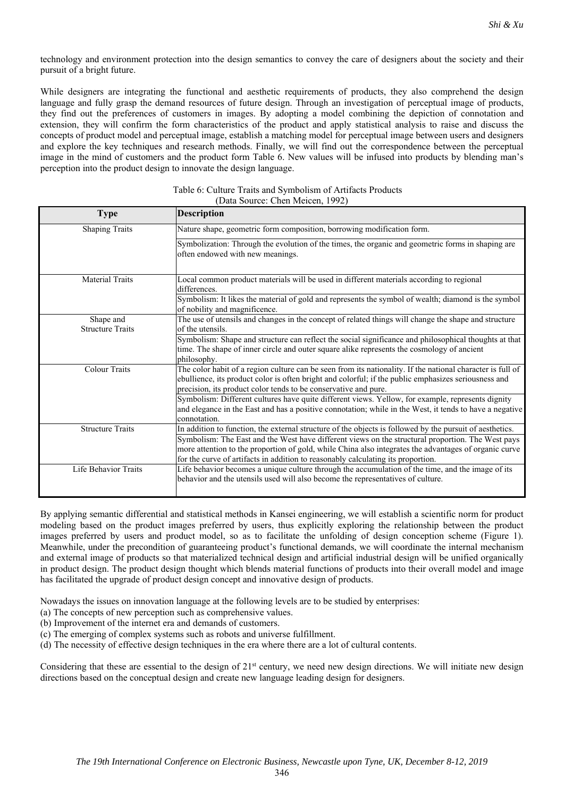technology and environment protection into the design semantics to convey the care of designers about the society and their pursuit of a bright future.

While designers are integrating the functional and aesthetic requirements of products, they also comprehend the design language and fully grasp the demand resources of future design. Through an investigation of perceptual image of products, they find out the preferences of customers in images. By adopting a model combining the depiction of connotation and extension, they will confirm the form characteristics of the product and apply statistical analysis to raise and discuss the concepts of product model and perceptual image, establish a matching model for perceptual image between users and designers and explore the key techniques and research methods. Finally, we will find out the correspondence between the perceptual image in the mind of customers and the product form Table 6. New values will be infused into products by blending man's perception into the product design to innovate the design language.

| <b>Type</b>                          | <b>Description</b>                                                                                                                                                                                                                                                                                                                                                                                                                                                                                                    |
|--------------------------------------|-----------------------------------------------------------------------------------------------------------------------------------------------------------------------------------------------------------------------------------------------------------------------------------------------------------------------------------------------------------------------------------------------------------------------------------------------------------------------------------------------------------------------|
| <b>Shaping Traits</b>                | Nature shape, geometric form composition, borrowing modification form.                                                                                                                                                                                                                                                                                                                                                                                                                                                |
|                                      | Symbolization: Through the evolution of the times, the organic and geometric forms in shaping are<br>often endowed with new meanings.                                                                                                                                                                                                                                                                                                                                                                                 |
| <b>Material Traits</b>               | Local common product materials will be used in different materials according to regional<br>differences.                                                                                                                                                                                                                                                                                                                                                                                                              |
|                                      | Symbolism: It likes the material of gold and represents the symbol of wealth; diamond is the symbol<br>of nobility and magnificence.                                                                                                                                                                                                                                                                                                                                                                                  |
| Shape and<br><b>Structure Traits</b> | The use of utensils and changes in the concept of related things will change the shape and structure<br>of the utensils.                                                                                                                                                                                                                                                                                                                                                                                              |
|                                      | Symbolism: Shape and structure can reflect the social significance and philosophical thoughts at that<br>time. The shape of inner circle and outer square alike represents the cosmology of ancient<br>philosophy.                                                                                                                                                                                                                                                                                                    |
| <b>Colour Traits</b>                 | The color habit of a region culture can be seen from its nationality. If the national character is full of<br>ebullience, its product color is often bright and colorful; if the public emphasizes seriousness and<br>precision, its product color tends to be conservative and pure.<br>Symbolism: Different cultures have quite different views. Yellow, for example, represents dignity<br>and elegance in the East and has a positive connotation; while in the West, it tends to have a negative<br>connotation. |
| <b>Structure Traits</b>              | In addition to function, the external structure of the objects is followed by the pursuit of aesthetics.<br>Symbolism: The East and the West have different views on the structural proportion. The West pays<br>more attention to the proportion of gold, while China also integrates the advantages of organic curve<br>for the curve of artifacts in addition to reasonably calculating its proportion.                                                                                                            |
| Life Behavior Traits                 | Life behavior becomes a unique culture through the accumulation of the time, and the image of its<br>behavior and the utensils used will also become the representatives of culture.                                                                                                                                                                                                                                                                                                                                  |

|  |                                  | Table 6: Culture Traits and Symbolism of Artifacts Products |  |
|--|----------------------------------|-------------------------------------------------------------|--|
|  | (Data Source: Chen Meicen, 1992) |                                                             |  |

By applying semantic differential and statistical methods in Kansei engineering, we will establish a scientific norm for product modeling based on the product images preferred by users, thus explicitly exploring the relationship between the product images preferred by users and product model, so as to facilitate the unfolding of design conception scheme (Figure 1). Meanwhile, under the precondition of guaranteeing product's functional demands, we will coordinate the internal mechanism and external image of products so that materialized technical design and artificial industrial design will be unified organically in product design. The product design thought which blends material functions of products into their overall model and image has facilitated the upgrade of product design concept and innovative design of products.

Nowadays the issues on innovation language at the following levels are to be studied by enterprises:

- (a) The concepts of new perception such as comprehensive values.
- (b) Improvement of the internet era and demands of customers.
- (c) The emerging of complex systems such as robots and universe fulfillment.
- (d) The necessity of effective design techniques in the era where there are a lot of cultural contents.

Considering that these are essential to the design of  $21<sup>st</sup>$  century, we need new design directions. We will initiate new design directions based on the conceptual design and create new language leading design for designers.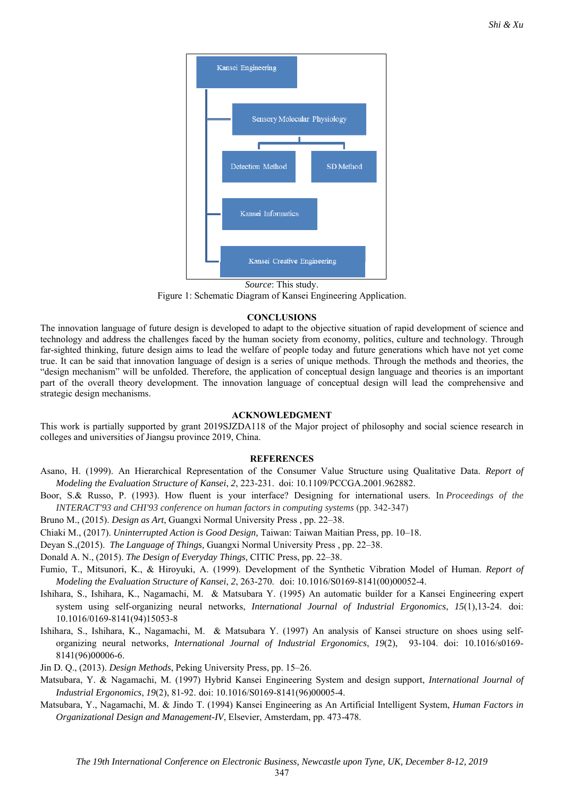

*Source*: This study. Figure 1: Schematic Diagram of Kansei Engineering Application.

### **CONCLUSIONS**

The innovation language of future design is developed to adapt to the objective situation of rapid development of science and technology and address the challenges faced by the human society from economy, politics, culture and technology. Through far-sighted thinking, future design aims to lead the welfare of people today and future generations which have not yet come true. It can be said that innovation language of design is a series of unique methods. Through the methods and theories, the "design mechanism" will be unfolded. Therefore, the application of conceptual design language and theories is an important part of the overall theory development. The innovation language of conceptual design will lead the comprehensive and strategic design mechanisms.

### **ACKNOWLEDGMENT**

This work is partially supported by grant 2019SJZDA118 of the Major project of philosophy and social science research in colleges and universities of Jiangsu province 2019, China.

### **REFERENCES**

- Asano, H. (1999). An Hierarchical Representation of the Consumer Value Structure using Qualitative Data. *Report of Modeling the Evaluation Structure of Kansei*, *2*, 223-231. doi: 10.1109/PCCGA.2001.962882.
- Boor, S.& Russo, P. (1993). How fluent is your interface? Designing for international users. In *Proceedings of the INTERACT'93 and CHI'93 conference on human factors in computing systems* (pp. 342-347)
- Bruno M., (2015). *Design as Art*, Guangxi Normal University Press , pp. 22–38.
- Chiaki M., (2017). *Uninterrupted Action is Good Design,* Taiwan: Taiwan Maitian Press*,* pp. 10–18.
- Deyan S.,(2015). *The Language of Things,* Guangxi Normal University Press , pp. 22–38.
- Donald A. N., (2015). *The Design of Everyday Things,* CITIC Press, pp. 22–38.
- Fumio, T., Mitsunori, K., & Hiroyuki, A. (1999). Development of the Synthetic Vibration Model of Human. *Report of Modeling the Evaluation Structure of Kansei*, *2*, 263-270. doi: 10.1016/S0169-8141(00)00052-4.
- Ishihara, S., Ishihara, K., Nagamachi, M. & Matsubara Y. (1995) An automatic builder for a Kansei Engineering expert system using self-organizing neural networks, *International Journal of Industrial Ergonomics*, *15*(1),13-24. doi: 10.1016/0169-8141(94)15053-8
- Ishihara, S., Ishihara, K., Nagamachi, M. & Matsubara Y. (1997) An analysis of Kansei structure on shoes using selforganizing neural networks, *International Journal of Industrial Ergonomics*, *19*(2), 93-104. doi: 10.1016/s0169- 8141(96)00006-6.
- Jin D. Q., (2013). *Design Methods*, Peking University Press, pp. 15–26.
- Matsubara, Y. & Nagamachi, M. (1997) Hybrid Kansei Engineering System and design support, *International Journal of Industrial Ergonomics*, *19*(2), 81-92. doi: 10.1016/S0169-8141(96)00005-4.
- Matsubara, Y., Nagamachi, M. & Jindo T. (1994) Kansei Engineering as An Artificial Intelligent System, *Human Factors in Organizational Design and Management-IV*, Elsevier, Amsterdam, pp. 473-478.